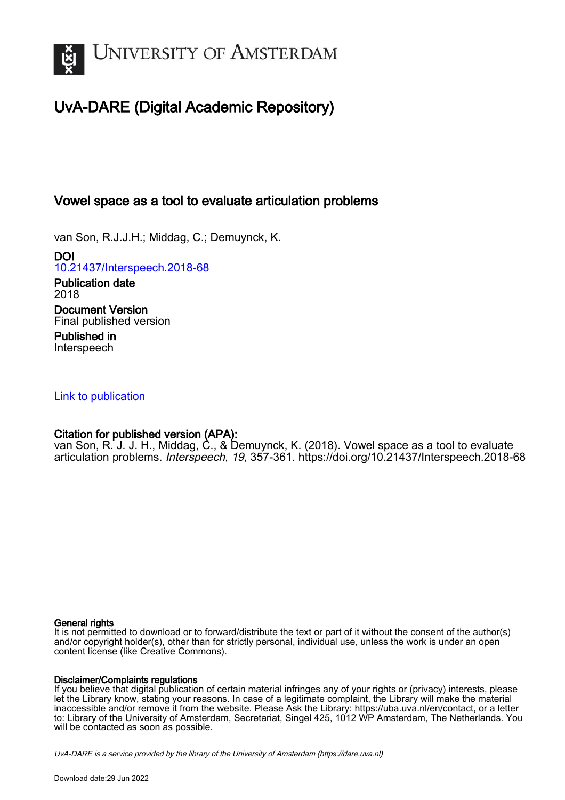

# UvA-DARE (Digital Academic Repository)

# Vowel space as a tool to evaluate articulation problems

van Son, R.J.J.H.; Middag, C.; Demuynck, K.

DOI [10.21437/Interspeech.2018-68](https://doi.org/10.21437/Interspeech.2018-68)

Publication date 2018 Document Version Final published version Published in

Interspeech

# [Link to publication](https://dare.uva.nl/personal/pure/en/publications/vowel-space-as-a-tool-to-evaluate-articulation-problems(78ca7973-4016-430c-ab99-9432906c8701).html)

# Citation for published version (APA):

van Son, R. J. J. H., Middag, C., & Demuynck, K. (2018). Vowel space as a tool to evaluate articulation problems. Interspeech, 19, 357-361.<https://doi.org/10.21437/Interspeech.2018-68>

## General rights

It is not permitted to download or to forward/distribute the text or part of it without the consent of the author(s) and/or copyright holder(s), other than for strictly personal, individual use, unless the work is under an open content license (like Creative Commons).

## Disclaimer/Complaints regulations

If you believe that digital publication of certain material infringes any of your rights or (privacy) interests, please let the Library know, stating your reasons. In case of a legitimate complaint, the Library will make the material inaccessible and/or remove it from the website. Please Ask the Library: https://uba.uva.nl/en/contact, or a letter to: Library of the University of Amsterdam, Secretariat, Singel 425, 1012 WP Amsterdam, The Netherlands. You will be contacted as soon as possible.

UvA-DARE is a service provided by the library of the University of Amsterdam (http*s*://dare.uva.nl)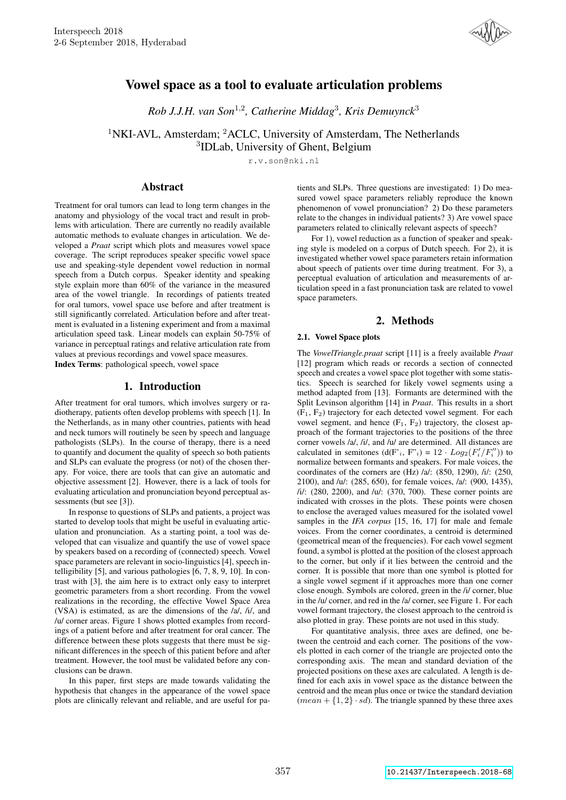

# Vowel space as a tool to evaluate articulation problems

*Rob J.J.H. van Son*<sup>1</sup>,<sup>2</sup> *, Catherine Middag*<sup>3</sup> *, Kris Demuynck*<sup>3</sup>

<sup>1</sup>NKI-AVL, Amsterdam; <sup>2</sup>ACLC, University of Amsterdam, The Netherlands

3 IDLab, University of Ghent, Belgium

r.v.son@nki.nl

## Abstract

Treatment for oral tumors can lead to long term changes in the anatomy and physiology of the vocal tract and result in problems with articulation. There are currently no readily available automatic methods to evaluate changes in articulation. We developed a *Praat* script which plots and measures vowel space coverage. The script reproduces speaker specific vowel space use and speaking-style dependent vowel reduction in normal speech from a Dutch corpus. Speaker identity and speaking style explain more than 60% of the variance in the measured area of the vowel triangle. In recordings of patients treated for oral tumors, vowel space use before and after treatment is still significantly correlated. Articulation before and after treatment is evaluated in a listening experiment and from a maximal articulation speed task. Linear models can explain 50-75% of variance in perceptual ratings and relative articulation rate from values at previous recordings and vowel space measures.

Index Terms: pathological speech, vowel space

## 1. Introduction

After treatment for oral tumors, which involves surgery or radiotherapy, patients often develop problems with speech [1]. In the Netherlands, as in many other countries, patients with head and neck tumors will routinely be seen by speech and language pathologists (SLPs). In the course of therapy, there is a need to quantify and document the quality of speech so both patients and SLPs can evaluate the progress (or not) of the chosen therapy. For voice, there are tools that can give an automatic and objective assessment [2]. However, there is a lack of tools for evaluating articulation and pronunciation beyond perceptual assessments (but see [3]).

In response to questions of SLPs and patients, a project was started to develop tools that might be useful in evaluating articulation and pronunciation. As a starting point, a tool was developed that can visualize and quantify the use of vowel space by speakers based on a recording of (connected) speech. Vowel space parameters are relevant in socio-linguistics [4], speech intelligibility [5], and various pathologies [6, 7, 8, 9, 10]. In contrast with [3], the aim here is to extract only easy to interpret geometric parameters from a short recording. From the vowel realizations in the recording, the effective Vowel Space Area (VSA) is estimated, as are the dimensions of the /a/, /i/, and /u/ corner areas. Figure 1 shows plotted examples from recordings of a patient before and after treatment for oral cancer. The difference between these plots suggests that there must be significant differences in the speech of this patient before and after treatment. However, the tool must be validated before any conclusions can be drawn.

In this paper, first steps are made towards validating the hypothesis that changes in the appearance of the vowel space plots are clinically relevant and reliable, and are useful for patients and SLPs. Three questions are investigated: 1) Do measured vowel space parameters reliably reproduce the known phenomenon of vowel pronunciation? 2) Do these parameters relate to the changes in individual patients? 3) Are vowel space parameters related to clinically relevant aspects of speech?

For 1), vowel reduction as a function of speaker and speaking style is modeled on a corpus of Dutch speech. For 2), it is investigated whether vowel space parameters retain information about speech of patients over time during treatment. For 3), a perceptual evaluation of articulation and measurements of articulation speed in a fast pronunciation task are related to vowel space parameters.

## 2. Methods

## 2.1. Vowel Space plots

The *VowelTriangle.praat* script [11] is a freely available *Praat* [12] program which reads or records a section of connected speech and creates a vowel space plot together with some statistics. Speech is searched for likely vowel segments using a method adapted from [13]. Formants are determined with the Split Levinson algorithm [14] in *Praat*. This results in a short  $(F_1, F_2)$  trajectory for each detected vowel segment. For each vowel segment, and hence  $(F_1, F_2)$  trajectory, the closest approach of the formant trajectories to the positions of the three corner vowels /a/, /i/, and /u/ are determined. All distances are calculated in semitones  $(d(F_i, F_i') = 12 \cdot Log_2(F_i'/F_i''))$  to normalize between formants and speakers. For male voices, the coordinates of the corners are  $(Hz)$  /a/:  $(850, 1290)$ , /i/:  $(250,$ 2100), and /u/: (285, 650), for female voices, /a/: (900, 1435), /i/: (280, 2200), and /u/: (370, 700). These corner points are indicated with crosses in the plots. These points were chosen to enclose the averaged values measured for the isolated vowel samples in the *IFA corpus* [15, 16, 17] for male and female voices. From the corner coordinates, a centroid is determined (geometrical mean of the frequencies). For each vowel segment found, a symbol is plotted at the position of the closest approach to the corner, but only if it lies between the centroid and the corner. It is possible that more than one symbol is plotted for a single vowel segment if it approaches more than one corner close enough. Symbols are colored, green in the /i/ corner, blue in the /u/ corner, and red in the /a/ corner, see Figure 1. For each vowel formant trajectory, the closest approach to the centroid is also plotted in gray. These points are not used in this study.

For quantitative analysis, three axes are defined, one between the centroid and each corner. The positions of the vowels plotted in each corner of the triangle are projected onto the corresponding axis. The mean and standard deviation of the projected positions on these axes are calculated. A length is defined for each axis in vowel space as the distance between the centroid and the mean plus once or twice the standard deviation  $(mean + \{1, 2\} \cdot sd)$ . The triangle spanned by these three axes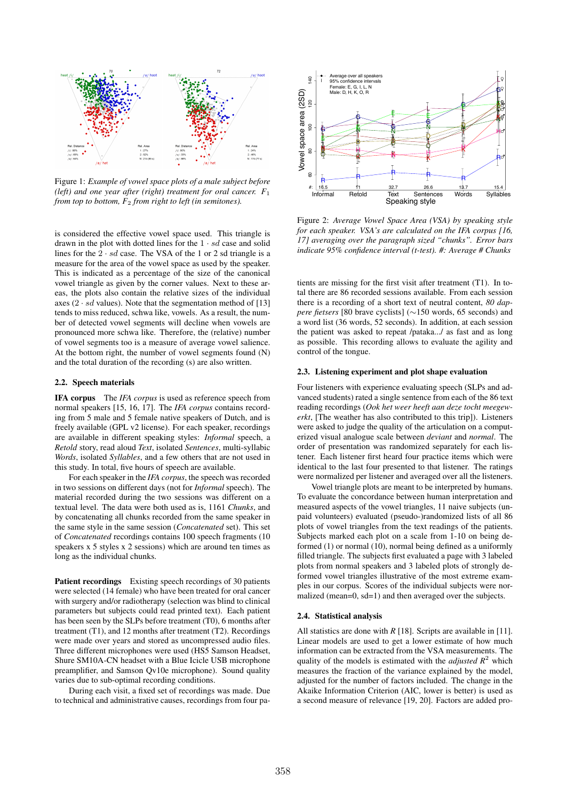

Figure 1: *Example of vowel space plots of a male subject before (left) and one year after (right) treatment for oral cancer. F*<sup>1</sup> *from top to bottom, F*<sup>2</sup> *from right to left (in semitones).*

is considered the effective vowel space used. This triangle is drawn in the plot with dotted lines for the  $1 \cdot sd$  case and solid lines for the  $2 \cdot sd$  case. The VSA of the 1 or 2 sd triangle is a measure for the area of the vowel space as used by the speaker. This is indicated as a percentage of the size of the canonical vowel triangle as given by the corner values. Next to these areas, the plots also contain the relative sizes of the individual axes  $(2 \cdot sd$  values). Note that the segmentation method of [13] tends to miss reduced, schwa like, vowels. As a result, the number of detected vowel segments will decline when vowels are pronounced more schwa like. Therefore, the (relative) number of vowel segments too is a measure of average vowel salience. At the bottom right, the number of vowel segments found (N) and the total duration of the recording (s) are also written.

#### 2.2. Speech materials

IFA corpus The *IFA corpus* is used as reference speech from normal speakers [15, 16, 17]. The *IFA corpus* contains recording from 5 male and 5 female native speakers of Dutch, and is freely available (GPL v2 license). For each speaker, recordings are available in different speaking styles: *Informal* speech, a *Retold* story, read aloud *Text*, isolated *Sentences*, multi-syllabic *Words*, isolated *Syllables*, and a few others that are not used in this study. In total, five hours of speech are available.

For each speaker in the *IFA corpus*, the speech was recorded in two sessions on different days (not for *Informal* speech). The material recorded during the two sessions was different on a textual level. The data were both used as is, 1161 *Chunks*, and by concatenating all chunks recorded from the same speaker in the same style in the same session (*Concatenated* set). This set of *Concatenated* recordings contains 100 speech fragments (10 speakers x 5 styles x 2 sessions) which are around ten times as long as the individual chunks.

Patient recordings Existing speech recordings of 30 patients were selected (14 female) who have been treated for oral cancer with surgery and/or radiotherapy (selection was blind to clinical parameters but subjects could read printed text). Each patient has been seen by the SLPs before treatment (T0), 6 months after treatment (T1), and 12 months after treatment (T2). Recordings were made over years and stored as uncompressed audio files. Three different microphones were used (HS5 Samson Headset, Shure SM10A-CN headset with a Blue Icicle USB microphone preamplifier, and Samson Qv10e microphone). Sound quality varies due to sub-optimal recording conditions.

During each visit, a fixed set of recordings was made. Due to technical and administrative causes, recordings from four pa-



Figure 2: *Average Vowel Space Area (VSA) by speaking style for each speaker. VSA's are calculated on the IFA corpus [16, 17] averaging over the paragraph sized "chunks". Error bars indicate 95% confidence interval (t-test). #: Average # Chunks*

tients are missing for the first visit after treatment (T1). In total there are 86 recorded sessions available. From each session there is a recording of a short text of neutral content, *80 dappere fietsers* [80 brave cyclists] (∼150 words, 65 seconds) and a word list (36 words, 52 seconds). In addition, at each session the patient was asked to repeat /pataka.../ as fast and as long as possible. This recording allows to evaluate the agility and control of the tongue.

#### 2.3. Listening experiment and plot shape evaluation

Four listeners with experience evaluating speech (SLPs and advanced students) rated a single sentence from each of the 86 text reading recordings (*Ook het weer heeft aan deze tocht meegewerkt*, [The weather has also contributed to this trip]). Listeners were asked to judge the quality of the articulation on a computerized visual analogue scale between *deviant* and *normal*. The order of presentation was randomized separately for each listener. Each listener first heard four practice items which were identical to the last four presented to that listener. The ratings were normalized per listener and averaged over all the listeners.

Vowel triangle plots are meant to be interpreted by humans. To evaluate the concordance between human interpretation and measured aspects of the vowel triangles, 11 naive subjects (unpaid volunteers) evaluated (pseudo-)randomized lists of all 86 plots of vowel triangles from the text readings of the patients. Subjects marked each plot on a scale from 1-10 on being deformed (1) or normal (10), normal being defined as a uniformly filled triangle. The subjects first evaluated a page with 3 labeled plots from normal speakers and 3 labeled plots of strongly deformed vowel triangles illustrative of the most extreme examples in our corpus. Scores of the individual subjects were normalized (mean=0, sd=1) and then averaged over the subjects.

#### 2.4. Statistical analysis

All statistics are done with *R* [18]. Scripts are available in [11]. Linear models are used to get a lower estimate of how much information can be extracted from the VSA measurements. The quality of the models is estimated with the *adjusted*  $R^2$  which measures the fraction of the variance explained by the model, adjusted for the number of factors included. The change in the Akaike Information Criterion (AIC, lower is better) is used as a second measure of relevance [19, 20]. Factors are added pro-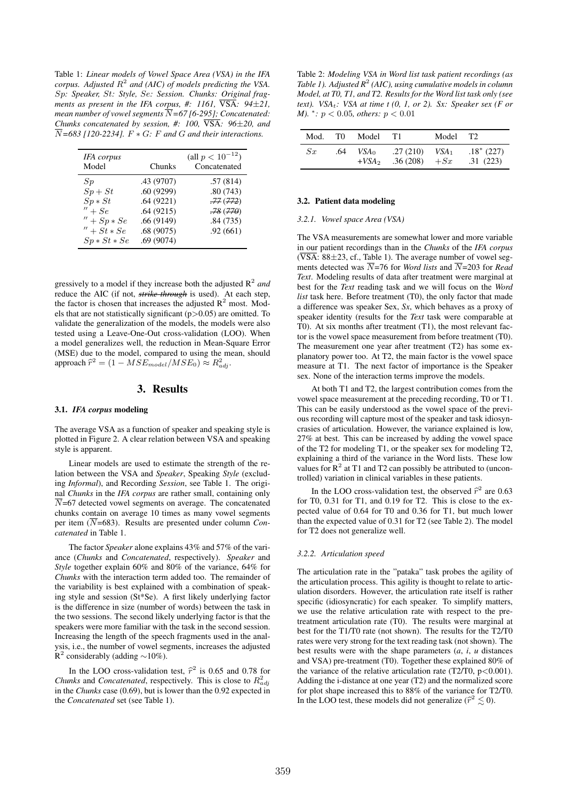Table 1: *Linear models of Vowel Space Area (VSA) in the IFA corpus. Adjusted*  $R^2$  and (AIC) of models predicting the VSA. Sp*: Speaker,* St*: Style,* Se*: Session. Chunks: Original fragments as present in the IFA corpus, #: 1161,*  $\overline{VSA}$ :  $94\pm21$ , *mean number of vowel segments*  $\overline{N}$ =67 [6-295]; Concatenated: *Chunks concatenated by session, #: 100,* VSA*: 96*±*20, and*  $\overline{N}$ =683 [120-2234].  $F * G$ : *F* and *G* and their interactions.

| IFA corpus     |            | (all $p < 10^{-12}$ ) |
|----------------|------------|-----------------------|
| Model          | Chunks     | Concatenated          |
| Sp             | .43 (9707) | .57(814)              |
| $Sp+St$        | .60(9299)  | .80(743)              |
| $Sp * St$      | .64(9221)  | .77(772)              |
| $'' + Se$      | .64(9215)  | $-78(770)$            |
| $'' + Sp * Se$ | .66(9149)  | .84(735)              |
| $'' + St * Se$ | .68(9075)  | .92(661)              |
| $Sp * St * Se$ | .69(9074)  |                       |

gressively to a model if they increase both the adjusted R<sup>2</sup> *and* reduce the AIC (if not, *strike-through* is used). At each step, the factor is chosen that increases the adjusted  $R^2$  most. Models that are not statistically significant  $(p>0.05)$  are omitted. To validate the generalization of the models, the models were also tested using a Leave-One-Out cross-validation (LOO). When a model generalizes well, the reduction in Mean-Square Error (MSE) due to the model, compared to using the mean, should approach  $\widehat{r}^2 = (1 - MSE_{model}/MSE_0) \approx R_{adj}^2$ .

## 3. Results

#### 3.1. *IFA corpus* modeling

The average VSA as a function of speaker and speaking style is plotted in Figure 2. A clear relation between VSA and speaking style is apparent.

Linear models are used to estimate the strength of the relation between the VSA and *Speaker*, Speaking *Style* (excluding *Informal*), and Recording *Session*, see Table 1. The original *Chunks* in the *IFA corpus* are rather small, containing only  $\overline{N}$ =67 detected vowel segments on average. The concatenated chunks contain on average 10 times as many vowel segments per item  $(\overline{N}$ =683). Results are presented under column *Concatenated* in Table 1.

The factor *Speaker* alone explains 43% and 57% of the variance (*Chunks* and *Concatenated*, respectively). *Speaker* and *Style* together explain 60% and 80% of the variance, 64% for *Chunks* with the interaction term added too. The remainder of the variability is best explained with a combination of speaking style and session (St\*Se). A first likely underlying factor is the difference in size (number of words) between the task in the two sessions. The second likely underlying factor is that the speakers were more familiar with the task in the second session. Increasing the length of the speech fragments used in the analysis, i.e., the number of vowel segments, increases the adjusted R<sup>2</sup> considerably (adding ~10%).

In the LOO cross-validation test,  $\hat{r}^2$  is 0.65 and 0.78 for the set of Consection the property This is also to  $D^2$ *Chunks* and *Concatenated*, respectively. This is close to  $R_{adj}^2$ in the *Chunks* case (0.69), but is lower than the 0.92 expected in the *Concatenated* set (see Table 1).

Table 2: *Modeling VSA in Word list task patient recordings (as* Table 1). Adjusted  $R^2$  (AIC), using cumulative models in column *Model, at T0, T1, and T2. Results for the Word list task only (see text*). *VSA<sub>t</sub>*: *VSA at time t (0, 1, or 2). Sx: Speaker sex (F or M*). <sup>∗</sup>: *p* < 0.05*, others: p* < 0.01

| Mod.    | T0  | Model              | T1.                  | Model T <sub>2</sub> |                         |
|---------|-----|--------------------|----------------------|----------------------|-------------------------|
| $S_{x}$ | .64 | $VSA_0$<br>$+VSA2$ | .27(210)<br>.36(208) | $VSA_1$<br>$+Sx$     | $.18*(227)$<br>.31(223) |

#### 3.2. Patient data modeling

### *3.2.1. Vowel space Area (VSA)*

The VSA measurements are somewhat lower and more variable in our patient recordings than in the *Chunks* of the *IFA corpus*  $(\overline{\text{VSA}}: 88\pm 23, \text{cf.}, \text{Table 1}).$  The average number of vowel segments detected was  $\overline{N}$ =76 for *Word lists* and  $\overline{N}$ =203 for *Read Text*. Modeling results of data after treatment were marginal at best for the *Text* reading task and we will focus on the *Word list* task here. Before treatment (T0), the only factor that made a difference was speaker Sex, *Sx*, which behaves as a proxy of speaker identity (results for the *Text* task were comparable at T0). At six months after treatment (T1), the most relevant factor is the vowel space measurement from before treatment (T0). The measurement one year after treatment (T2) has some explanatory power too. At T2, the main factor is the vowel space measure at T1. The next factor of importance is the Speaker sex. None of the interaction terms improve the models.

At both T1 and T2, the largest contribution comes from the vowel space measurement at the preceding recording, T0 or T1. This can be easily understood as the vowel space of the previous recording will capture most of the speaker and task idiosyncrasies of articulation. However, the variance explained is low, 27% at best. This can be increased by adding the vowel space of the T2 for modeling T1, or the speaker sex for modeling T2, explaining a third of the variance in the Word lists. These low values for  $R^2$  at T1 and T2 can possibly be attributed to (uncontrolled) variation in clinical variables in these patients.

In the LOO cross-validation test, the observed  $\hat{r}^2$  are 0.63<br>To 0.21 for T1, and 0.10 for T2. This is also to the sy for T0, 0.31 for T1, and 0.19 for T2. This is close to the expected value of 0.64 for T0 and 0.36 for T1, but much lower than the expected value of 0.31 for T2 (see Table 2). The model for T2 does not generalize well.

#### *3.2.2. Articulation speed*

The articulation rate in the "pataka" task probes the agility of the articulation process. This agility is thought to relate to articulation disorders. However, the articulation rate itself is rather specific (idiosyncratic) for each speaker. To simplify matters, we use the relative articulation rate with respect to the pretreatment articulation rate (T0). The results were marginal at best for the T1/T0 rate (not shown). The results for the T2/T0 rates were very strong for the text reading task (not shown). The best results were with the shape parameters (*a*, *i*, *u* distances and VSA) pre-treatment (T0). Together these explained 80% of the variance of the relative articulation rate (T2/T0,  $p < 0.001$ ). Adding the i-distance at one year (T2) and the normalized score for plot shape increased this to 88% of the variance for T2/T0. In the LOO test, these models did not generalize ( $\hat{r}^2 \lesssim 0$ ).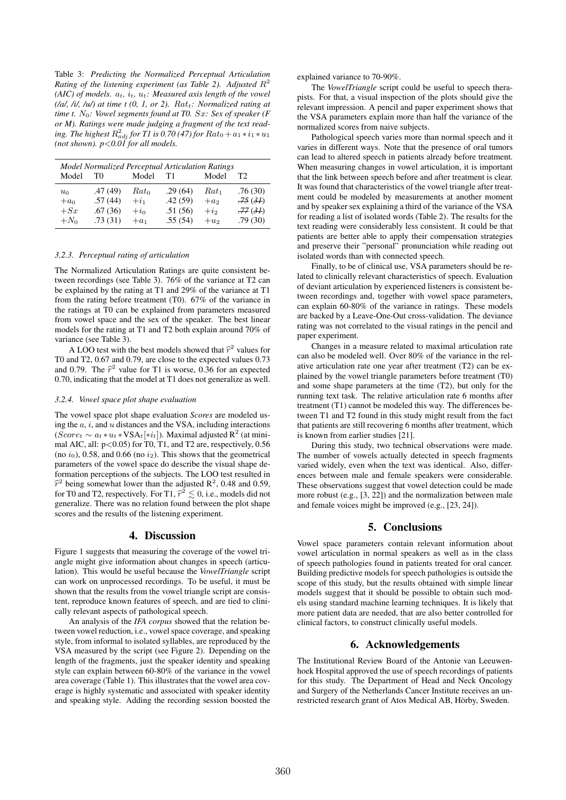Table 3: *Predicting the Normalized Perceptual Articulation* Rating of the listening experiment (as Table 2). Adjusted  $R^2$ *(AIC) of models.*  $a_t$ ,  $i_t$ ,  $u_t$ : Measured axis length of the vowel  $(\sqrt{a}, \sqrt{b}, \sqrt{u})$  at time t  $(0, 1, or 2)$ .  $Rat_t$ : Normalized rating at *time t.*  $N_0$ *: Vowel segments found at T0. Sx: Sex of speaker (F) or M). Ratings were made judging a fragment of the text read*ing. The highest  $R_{adj}^2$  for T1 is 0.70 (47) for  $Rat_0 + a_1 * i_1 * u_1$ *(not shown). p*<*0.01 for all models.*

| Model Normalized Perceptual Articulation Ratings |         |            |         |                           |                |  |  |  |
|--------------------------------------------------|---------|------------|---------|---------------------------|----------------|--|--|--|
| Model                                            | TO      | Model      | T1      | Model                     | T <sub>2</sub> |  |  |  |
| $u_0$                                            | .47(49) | $Rat_0$    | .29(64) | $Rat_1$                   | .76(30)        |  |  |  |
| $+a_0$                                           | .57(44) | $+i_1$     | .42(59) | $+a2$                     | $-75(3)$       |  |  |  |
| $+Sx$                                            | .67(36) | $+i\sigma$ | .51(56) | $+$ <i>i</i> <sub>2</sub> | .77(3)         |  |  |  |
| $+N_0$                                           | .73(31) | $+a_1$     | .55(54) | $+u2$                     | .79(30)        |  |  |  |

#### *3.2.3. Perceptual rating of articulation*

The Normalized Articulation Ratings are quite consistent between recordings (see Table 3). 76% of the variance at T2 can be explained by the rating at T1 and 29% of the variance at T1 from the rating before treatment (T0). 67% of the variance in the ratings at T0 can be explained from parameters measured from vowel space and the sex of the speaker. The best linear models for the rating at T1 and T2 both explain around 70% of variance (see Table 3).

A LOO test with the best models showed that  $\hat{r}^2$  values for  $r^2$  and  $\hat{r}^2$  and 0.79 are also to the armosted values 0.72 T0 and T2, 0.67 and 0.79, are close to the expected values 0.73 and 0.79. The  $\hat{r}^2$  value for T1 is worse, 0.36 for an expected 0.70 indicating that the model of T1 dece not concreting as well. 0.70, indicating that the model at T1 does not generalize as well.

#### *3.2.4. Vowel space plot shape evaluation*

The vowel space plot shape evaluation *Scores* are modeled using the  $a$ ,  $i$ , and  $u$  distances and the VSA, including interactions  $(Score_t \sim a_t * u_t * VSA_t[*i_t])$ . Maximal adjusted R<sup>2</sup> (at minimal AIC, all:  $p<0.05$ ) for T0, T1, and T2 are, respectively,  $0.56$ (no  $i_0$ ), 0.58, and 0.66 (no  $i_2$ ). This shows that the geometrical parameters of the vowel space do describe the visual shape deformation perceptions of the subjects. The LOO test resulted in  $\hat{r}^2$  being somewhat lower than the adjusted  $R^2$ , 0.48 and 0.59, for T0 and T2, respectively. For T1,  $\hat{r}^2 \lesssim 0$ , i.e., models did not generalize. There was no relation found between the plot shape scores and the results of the listening experiment.

### 4. Discussion

Figure 1 suggests that measuring the coverage of the vowel triangle might give information about changes in speech (articulation). This would be useful because the *VowelTriangle* script can work on unprocessed recordings. To be useful, it must be shown that the results from the vowel triangle script are consistent, reproduce known features of speech, and are tied to clinically relevant aspects of pathological speech.

An analysis of the *IFA corpus* showed that the relation between vowel reduction, i.e., vowel space coverage, and speaking style, from informal to isolated syllables, are reproduced by the VSA measured by the script (see Figure 2). Depending on the length of the fragments, just the speaker identity and speaking style can explain between 60-80% of the variance in the vowel area coverage (Table 1). This illustrates that the vowel area coverage is highly systematic and associated with speaker identity and speaking style. Adding the recording session boosted the explained variance to 70-90%.

The *VowelTriangle* script could be useful to speech therapists. For that, a visual inspection of the plots should give the relevant impression. A pencil and paper experiment shows that the VSA parameters explain more than half the variance of the normalized scores from naive subjects.

Pathological speech varies more than normal speech and it varies in different ways. Note that the presence of oral tumors can lead to altered speech in patients already before treatment. When measuring changes in vowel articulation, it is important that the link between speech before and after treatment is clear. It was found that characteristics of the vowel triangle after treatment could be modeled by measurements at another moment and by speaker sex explaining a third of the variance of the VSA for reading a list of isolated words (Table 2). The results for the text reading were considerably less consistent. It could be that patients are better able to apply their compensation strategies and preserve their "personal" pronunciation while reading out isolated words than with connected speech.

Finally, to be of clinical use, VSA parameters should be related to clinically relevant characteristics of speech. Evaluation of deviant articulation by experienced listeners is consistent between recordings and, together with vowel space parameters, can explain 60-80% of the variance in ratings. These models are backed by a Leave-One-Out cross-validation. The deviance rating was not correlated to the visual ratings in the pencil and paper experiment.

Changes in a measure related to maximal articulation rate can also be modeled well. Over 80% of the variance in the relative articulation rate one year after treatment (T2) can be explained by the vowel triangle parameters before treatment (T0) and some shape parameters at the time (T2), but only for the running text task. The relative articulation rate 6 months after treatment (T1) cannot be modeled this way. The differences between T1 and T2 found in this study might result from the fact that patients are still recovering 6 months after treatment, which is known from earlier studies [21].

During this study, two technical observations were made. The number of vowels actually detected in speech fragments varied widely, even when the text was identical. Also, differences between male and female speakers were considerable. These observations suggest that vowel detection could be made more robust (e.g., [3, 22]) and the normalization between male and female voices might be improved (e.g., [23, 24]).

## 5. Conclusions

Vowel space parameters contain relevant information about vowel articulation in normal speakers as well as in the class of speech pathologies found in patients treated for oral cancer. Building predictive models for speech pathologies is outside the scope of this study, but the results obtained with simple linear models suggest that it should be possible to obtain such models using standard machine learning techniques. It is likely that more patient data are needed, that are also better controlled for clinical factors, to construct clinically useful models.

## 6. Acknowledgements

The Institutional Review Board of the Antonie van Leeuwenhoek Hospital approved the use of speech recordings of patients for this study. The Department of Head and Neck Oncology and Surgery of the Netherlands Cancer Institute receives an unrestricted research grant of Atos Medical AB, Hörby, Sweden.